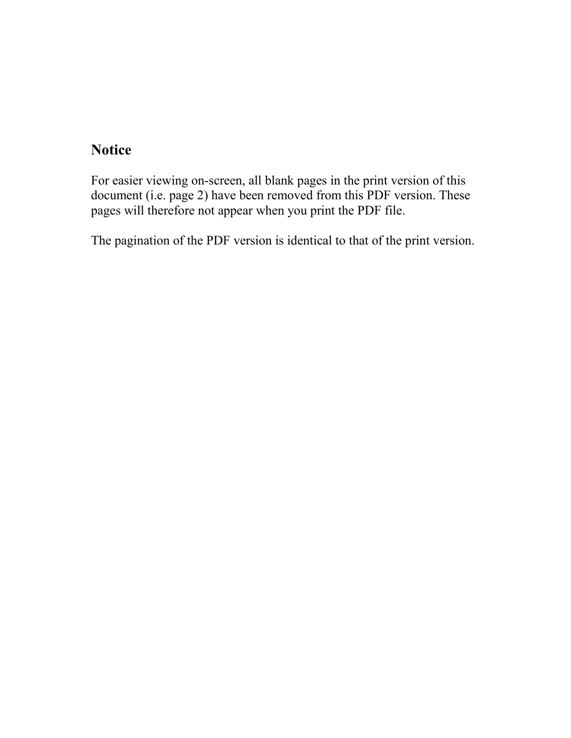# **Notice**

For easier viewing on-screen, all blank pages in the print version of this document (i.e. page 2) have been removed from this PDF version. These pages will therefore not appear when you print the PDF file.

The pagination of the PDF version is identical to that of the print version.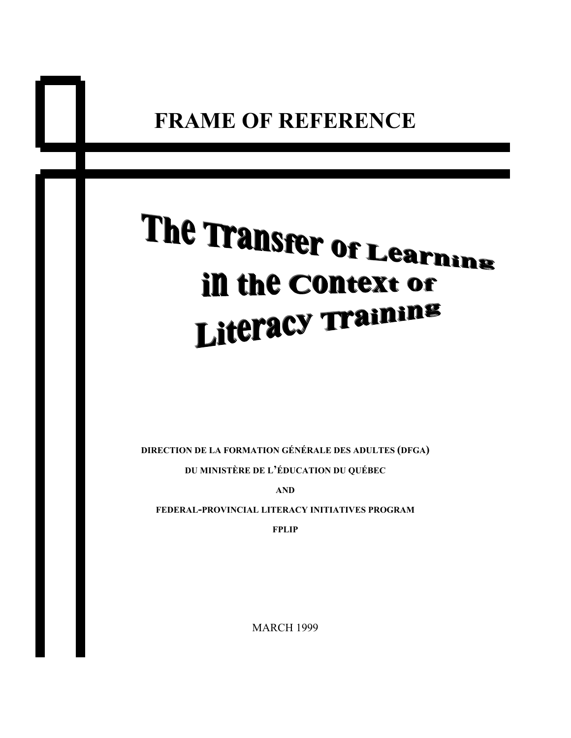# The Transfer of Learning in the Context or Literacy Training

**DIRECTION DE LA FORMATION GÉNÉRALE DES ADULTES (DFGA) DU MINISTÈRE DE L'ÉDUCATION DU QUÉBEC**

**AND**

**FEDERAL-PROVINCIAL LITERACY INITIATIVES PROGRAM**

**FPLIP**

MARCH 1999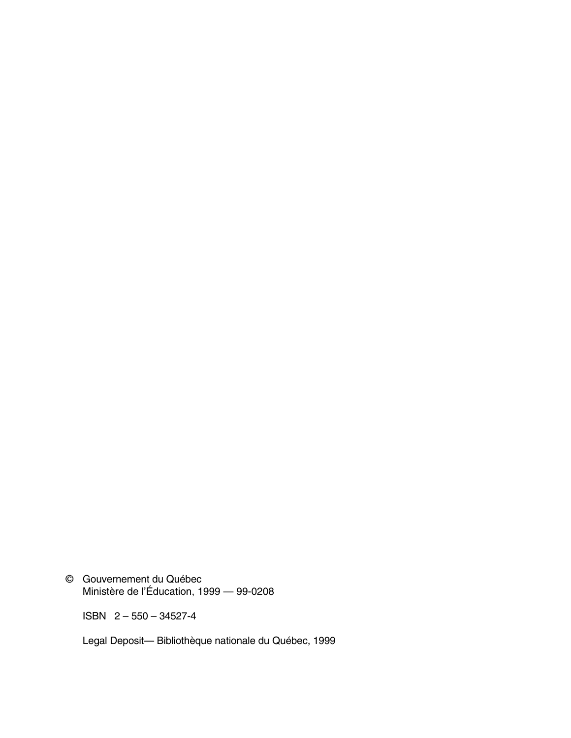© Gouvernement du Québec Ministère de l'Éducation, 1999 — 99-0208

ISBN 2 – 550 – 34527-4

Legal Deposit— Bibliothèque nationale du Québec, 1999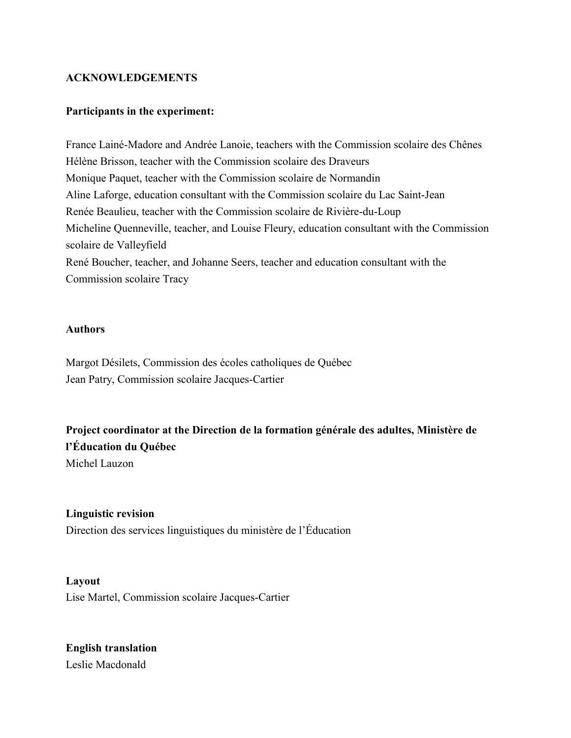#### **ACKNOWLEDGEMENTS**

#### **Participants in the experiment:**

France Lainé-Madore and Andrée Lanoie, teachers with the Commission scolaire des Chênes Hélène Brisson, teacher with the Commission scolaire des Draveurs Monique Paquet, teacher with the Commission scolaire de Normandin Aline Laforge, education consultant with the Commission scolaire du Lac Saint-Jean Renée Beaulieu, teacher with the Commission scolaire de Rivière-du-Loup Micheline Quenneville, teacher, and Louise Fleury, education consultant with the Commission scolaire de Valleyfield René Boucher, teacher, and Johanne Seers, teacher and education consultant with the Commission scolaire Tracy

#### **Authors**

Margot Désilets, Commission des écoles catholiques de Québec Jean Patry, Commission scolaire Jacques-Cartier

**Project coordinator at the Direction de la formation générale des adultes, Ministère de l'Éducation du Québec**

Michel Lauzon

# **Linguistic revision**

Direction des services linguistiques du ministère de l'Éducation

**Layout** Lise Martel, Commission scolaire Jacques-Cartier

**English translation** Leslie Macdonald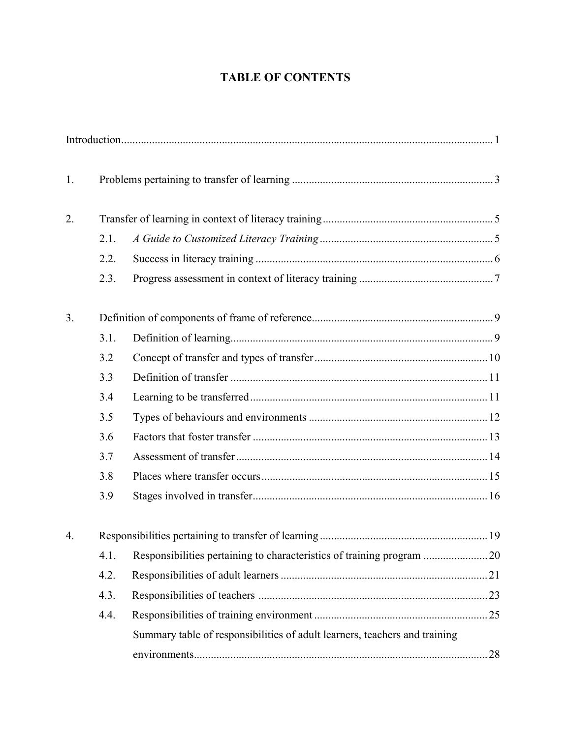# **TABLE OF CONTENTS**

| 1. |      |                                                                            |  |
|----|------|----------------------------------------------------------------------------|--|
| 2. |      |                                                                            |  |
|    | 2.1. |                                                                            |  |
|    | 2.2. |                                                                            |  |
|    | 2.3. |                                                                            |  |
| 3. |      |                                                                            |  |
|    | 3.1. |                                                                            |  |
|    | 3.2  |                                                                            |  |
|    | 3.3  |                                                                            |  |
|    | 3.4  |                                                                            |  |
|    | 3.5  |                                                                            |  |
|    | 3.6  |                                                                            |  |
|    | 3.7  |                                                                            |  |
|    | 3.8  |                                                                            |  |
|    | 3.9  |                                                                            |  |
| 4. |      |                                                                            |  |
|    | 4.1. |                                                                            |  |
|    | 4.2. |                                                                            |  |
|    | 4.3. |                                                                            |  |
|    | 4.4. |                                                                            |  |
|    |      | Summary table of responsibilities of adult learners, teachers and training |  |
|    |      |                                                                            |  |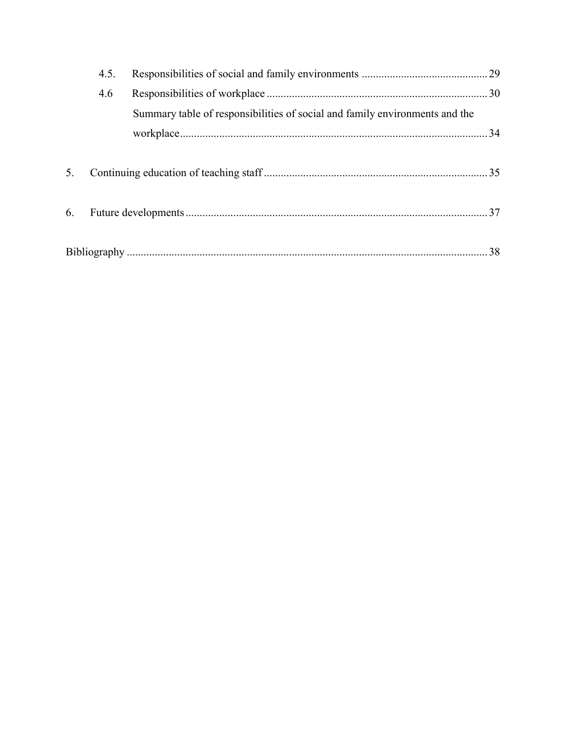|    | 4.5. |                                                                             |  |
|----|------|-----------------------------------------------------------------------------|--|
|    | 4.6  |                                                                             |  |
|    |      | Summary table of responsibilities of social and family environments and the |  |
| 5. |      |                                                                             |  |
| 6. |      |                                                                             |  |
|    |      |                                                                             |  |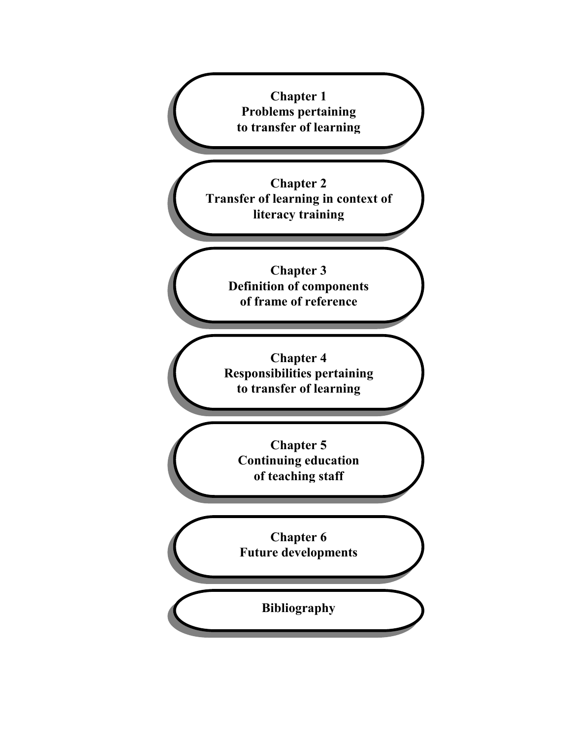**Chapter 1 Problems pertaining to transfer of learning**

**Chapter 2 Transfer of learning in context of literacy training**

> **Chapter 3 Definition of components of frame of reference**

**Chapter 4 Responsibilities pertaining to transfer of learning**

**Chapter 5 Continuing education of teaching staff**

**Chapter 6 Future developments**

**Bibliography**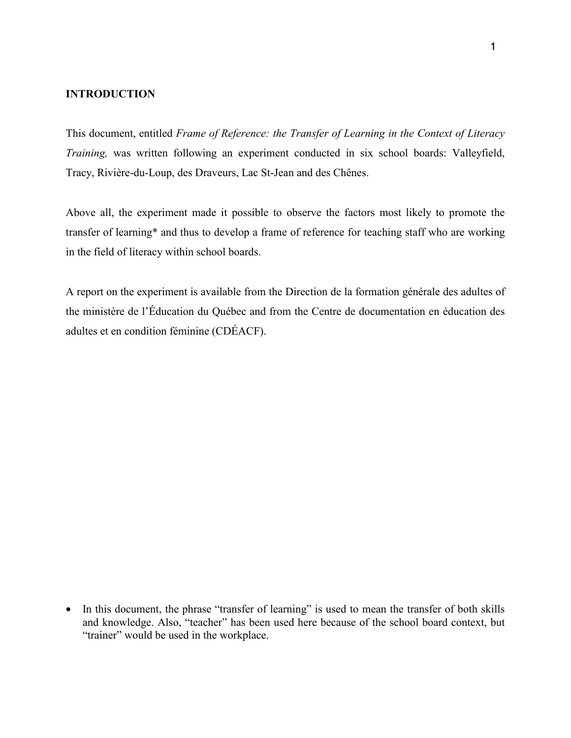#### **INTRODUCTION**

This document, entitled *Frame of Reference: the Transfer of Learning in the Context of Literacy Training,* was written following an experiment conducted in six school boards: Valleyfield, Tracy, Rivière-du-Loup, des Draveurs, Lac St-Jean and des Chênes.

Above all, the experiment made it possible to observe the factors most likely to promote the transfer of learning\* and thus to develop a frame of reference for teaching staff who are working in the field of literacy within school boards.

A report on the experiment is available from the Direction de la formation générale des adultes of the ministère de l'Éducation du Québec and from the Centre de documentation en éducation des adultes et en condition féminine (CDÉACF).

• In this document, the phrase "transfer of learning" is used to mean the transfer of both skills and knowledge. Also, "teacher" has been used here because of the school board context, but "trainer" would be used in the workplace.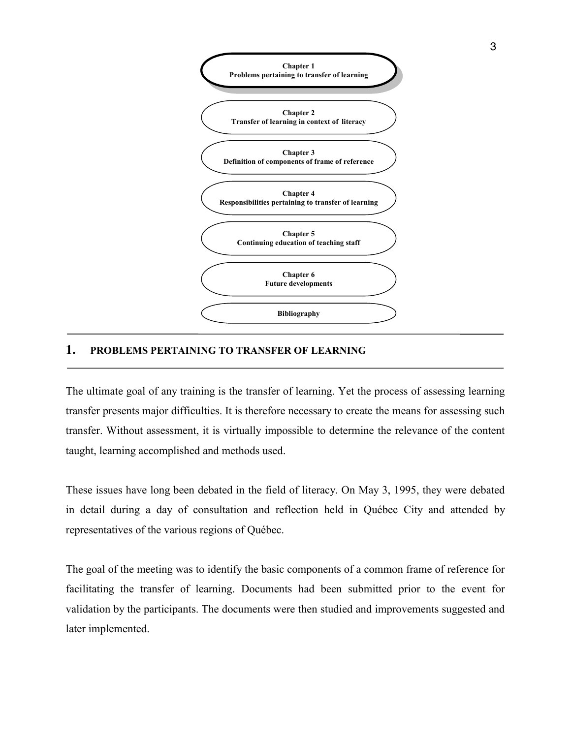

#### **1. PROBLEMS PERTAINING TO TRANSFER OF LEARNING**

The ultimate goal of any training is the transfer of learning. Yet the process of assessing learning transfer presents major difficulties. It is therefore necessary to create the means for assessing such transfer. Without assessment, it is virtually impossible to determine the relevance of the content taught, learning accomplished and methods used.

These issues have long been debated in the field of literacy. On May 3, 1995, they were debated in detail during a day of consultation and reflection held in Québec City and attended by representatives of the various regions of Québec.

The goal of the meeting was to identify the basic components of a common frame of reference for facilitating the transfer of learning. Documents had been submitted prior to the event for validation by the participants. The documents were then studied and improvements suggested and later implemented.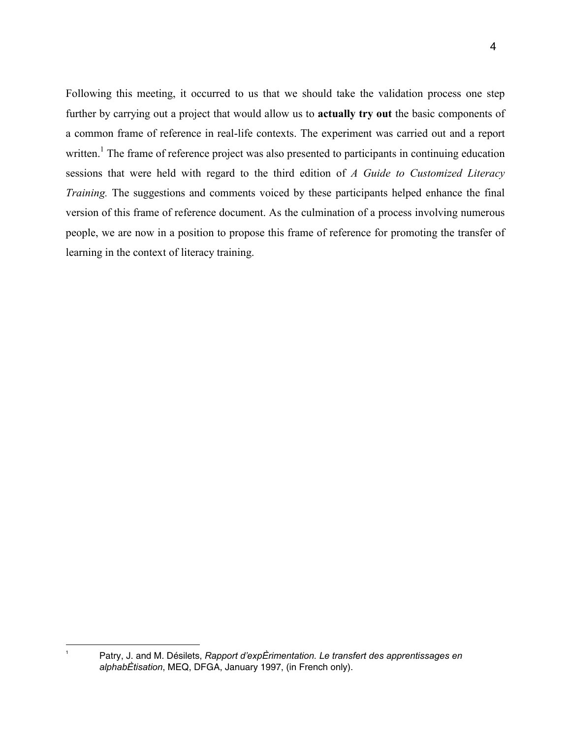Following this meeting, it occurred to us that we should take the validation process one step further by carrying out a project that would allow us to **actually try out** the basic components of a common frame of reference in real-life contexts. The experiment was carried out and a report written.<sup>1</sup> The frame of reference project was also presented to participants in continuing education sessions that were held with regard to the third edition of *A Guide to Customized Literacy Training.* The suggestions and comments voiced by these participants helped enhance the final version of this frame of reference document. As the culmination of a process involving numerous people, we are now in a position to propose this frame of reference for promoting the transfer of learning in the context of literacy training.

|<br>1

Patry, J. and M. Désilets, *Rapport d'expÈrimentation. Le transfert des apprentissages en alphabÈtisation*, MEQ, DFGA, January 1997, (in French only).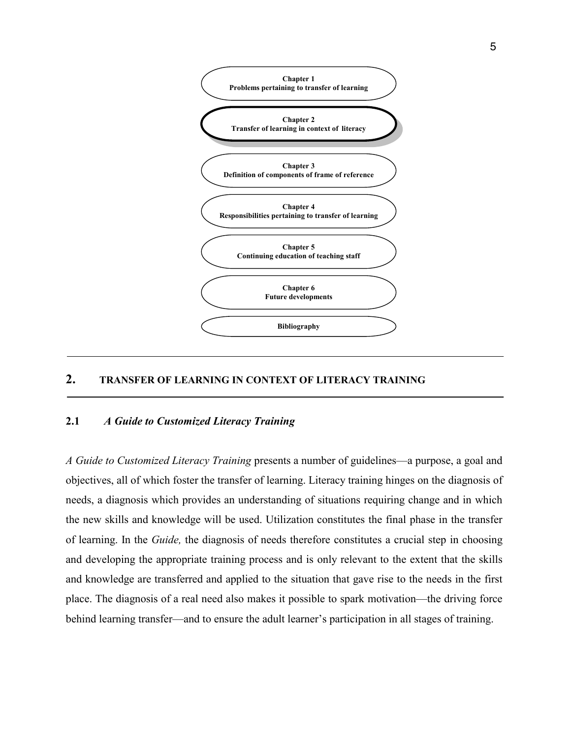

### **2. TRANSFER OF LEARNING IN CONTEXT OF LITERACY TRAINING**

#### **2.1** *A Guide to Customized Literacy Training*

*A Guide to Customized Literacy Training* presents a number of guidelines—a purpose, a goal and objectives, all of which foster the transfer of learning. Literacy training hinges on the diagnosis of needs, a diagnosis which provides an understanding of situations requiring change and in which the new skills and knowledge will be used. Utilization constitutes the final phase in the transfer of learning. In the *Guide,* the diagnosis of needs therefore constitutes a crucial step in choosing and developing the appropriate training process and is only relevant to the extent that the skills and knowledge are transferred and applied to the situation that gave rise to the needs in the first place. The diagnosis of a real need also makes it possible to spark motivation—the driving force behind learning transfer—and to ensure the adult learner's participation in all stages of training.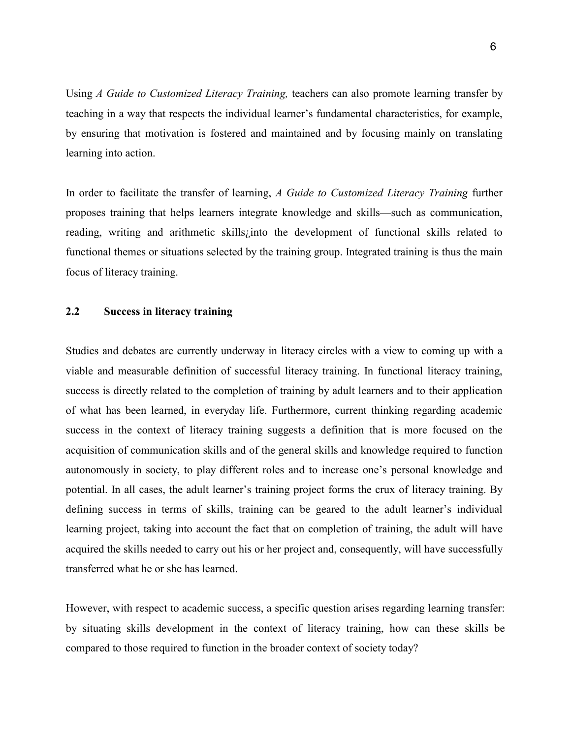Using *A Guide to Customized Literacy Training,* teachers can also promote learning transfer by teaching in a way that respects the individual learner's fundamental characteristics, for example, by ensuring that motivation is fostered and maintained and by focusing mainly on translating learning into action.

In order to facilitate the transfer of learning, *A Guide to Customized Literacy Training* further proposes training that helps learners integrate knowledge and skills—such as communication, reading, writing and arithmetic skills¿into the development of functional skills related to functional themes or situations selected by the training group. Integrated training is thus the main focus of literacy training.

#### **2.2 Success in literacy training**

Studies and debates are currently underway in literacy circles with a view to coming up with a viable and measurable definition of successful literacy training. In functional literacy training, success is directly related to the completion of training by adult learners and to their application of what has been learned, in everyday life. Furthermore, current thinking regarding academic success in the context of literacy training suggests a definition that is more focused on the acquisition of communication skills and of the general skills and knowledge required to function autonomously in society, to play different roles and to increase one's personal knowledge and potential. In all cases, the adult learner's training project forms the crux of literacy training. By defining success in terms of skills, training can be geared to the adult learner's individual learning project, taking into account the fact that on completion of training, the adult will have acquired the skills needed to carry out his or her project and, consequently, will have successfully transferred what he or she has learned.

However, with respect to academic success, a specific question arises regarding learning transfer: by situating skills development in the context of literacy training, how can these skills be compared to those required to function in the broader context of society today?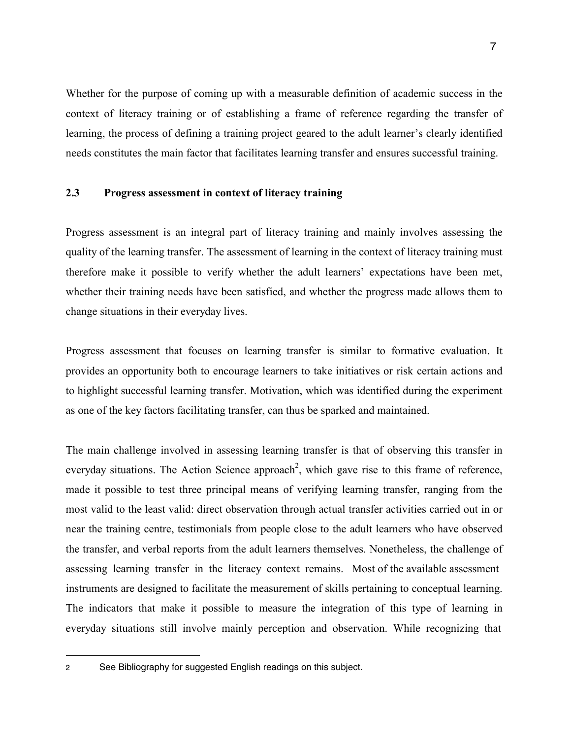Whether for the purpose of coming up with a measurable definition of academic success in the context of literacy training or of establishing a frame of reference regarding the transfer of learning, the process of defining a training project geared to the adult learner's clearly identified needs constitutes the main factor that facilitates learning transfer and ensures successful training.

#### **2.3 Progress assessment in context of literacy training**

Progress assessment is an integral part of literacy training and mainly involves assessing the quality of the learning transfer. The assessment of learning in the context of literacy training must therefore make it possible to verify whether the adult learners' expectations have been met, whether their training needs have been satisfied, and whether the progress made allows them to change situations in their everyday lives.

Progress assessment that focuses on learning transfer is similar to formative evaluation. It provides an opportunity both to encourage learners to take initiatives or risk certain actions and to highlight successful learning transfer. Motivation, which was identified during the experiment as one of the key factors facilitating transfer, can thus be sparked and maintained.

The main challenge involved in assessing learning transfer is that of observing this transfer in everyday situations. The Action Science approach<sup>2</sup>, which gave rise to this frame of reference, made it possible to test three principal means of verifying learning transfer, ranging from the most valid to the least valid: direct observation through actual transfer activities carried out in or near the training centre, testimonials from people close to the adult learners who have observed the transfer, and verbal reports from the adult learners themselves. Nonetheless, the challenge of assessing learning transfer in the literacy context remains. Most of the available assessment instruments are designed to facilitate the measurement of skills pertaining to conceptual learning. The indicators that make it possible to measure the integration of this type of learning in everyday situations still involve mainly perception and observation. While recognizing that

 $\overline{a}$ 

<sup>2</sup> See Bibliography for suggested English readings on this subject.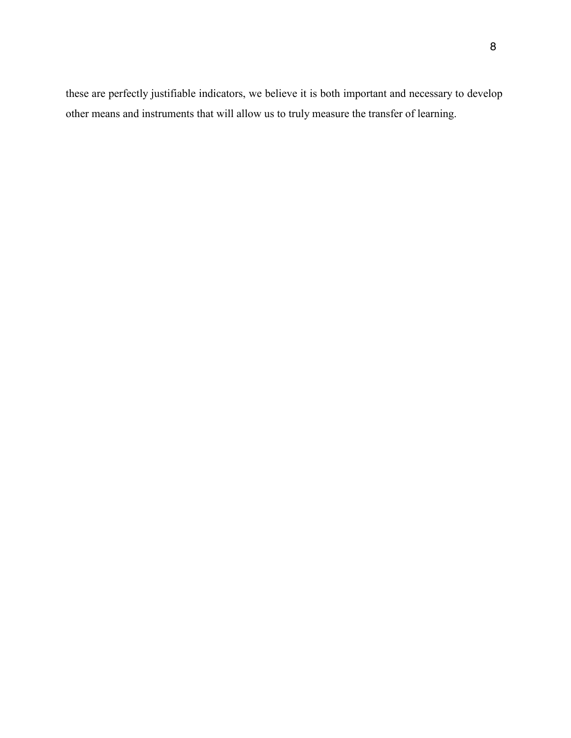these are perfectly justifiable indicators, we believe it is both important and necessary to develop other means and instruments that will allow us to truly measure the transfer of learning.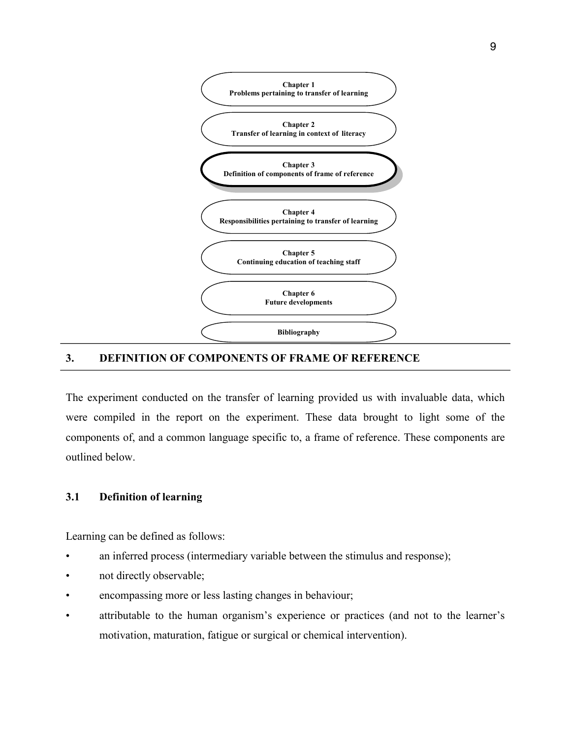

#### **3. DEFINITION OF COMPONENTS OF FRAME OF REFERENCE**

The experiment conducted on the transfer of learning provided us with invaluable data, which were compiled in the report on the experiment. These data brought to light some of the components of, and a common language specific to, a frame of reference. These components are outlined below.

#### **3.1 Definition of learning**

Learning can be defined as follows:

- an inferred process (intermediary variable between the stimulus and response);
- not directly observable;
- encompassing more or less lasting changes in behaviour;
- attributable to the human organism's experience or practices (and not to the learner's motivation, maturation, fatigue or surgical or chemical intervention).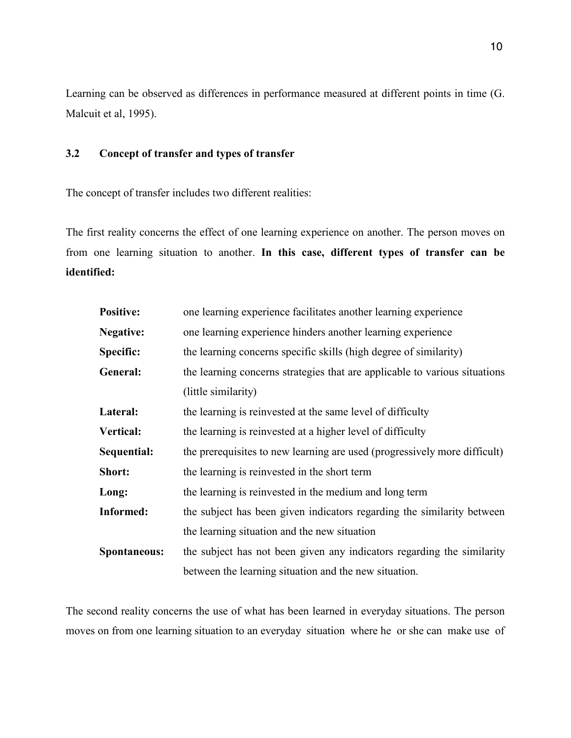Learning can be observed as differences in performance measured at different points in time (G. Malcuit et al, 1995).

#### **3.2 Concept of transfer and types of transfer**

The concept of transfer includes two different realities:

The first reality concerns the effect of one learning experience on another. The person moves on from one learning situation to another. **In this case, different types of transfer can be identified:**

| <b>Positive:</b>                                                                      | one learning experience facilitates another learning experience            |  |
|---------------------------------------------------------------------------------------|----------------------------------------------------------------------------|--|
| <b>Negative:</b>                                                                      | one learning experience hinders another learning experience                |  |
| the learning concerns specific skills (high degree of similarity)<br><b>Specific:</b> |                                                                            |  |
| General:                                                                              | the learning concerns strategies that are applicable to various situations |  |
|                                                                                       | (little similarity)                                                        |  |
| Lateral:                                                                              | the learning is reinvested at the same level of difficulty                 |  |
| <b>Vertical:</b>                                                                      | the learning is reinvested at a higher level of difficulty                 |  |
| Sequential:                                                                           | the prerequisites to new learning are used (progressively more difficult)  |  |
| Short:                                                                                | the learning is reinvested in the short term                               |  |
| Long:                                                                                 | the learning is reinvested in the medium and long term                     |  |
| <b>Informed:</b>                                                                      | the subject has been given indicators regarding the similarity between     |  |
|                                                                                       | the learning situation and the new situation                               |  |
| Spontaneous:                                                                          | the subject has not been given any indicators regarding the similarity     |  |
|                                                                                       | between the learning situation and the new situation.                      |  |

The second reality concerns the use of what has been learned in everyday situations. The person moves on from one learning situation to an everyday situation where he or she can make use of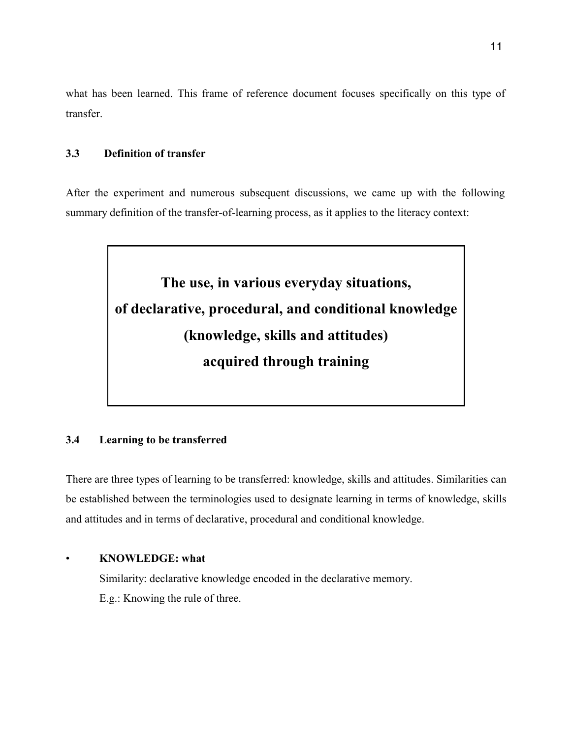what has been learned. This frame of reference document focuses specifically on this type of transfer.

#### **3.3 Definition of transfer**

After the experiment and numerous subsequent discussions, we came up with the following summary definition of the transfer-of-learning process, as it applies to the literacy context:



#### **3.4 Learning to be transferred**

There are three types of learning to be transferred: knowledge, skills and attitudes. Similarities can be established between the terminologies used to designate learning in terms of knowledge, skills and attitudes and in terms of declarative, procedural and conditional knowledge.

#### • **KNOWLEDGE: what**

Similarity: declarative knowledge encoded in the declarative memory. E.g.: Knowing the rule of three.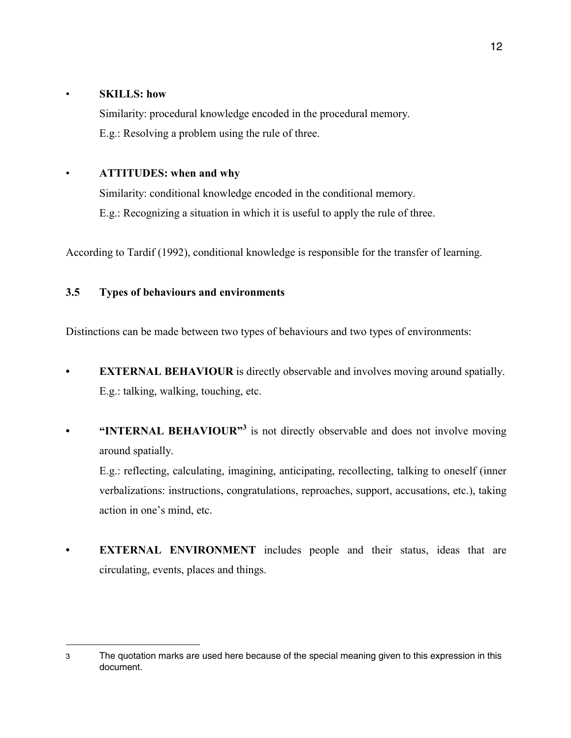#### • **SKILLS: how**

Similarity: procedural knowledge encoded in the procedural memory. E.g.: Resolving a problem using the rule of three.

### • **ATTITUDES: when and why**

Similarity: conditional knowledge encoded in the conditional memory. E.g.: Recognizing a situation in which it is useful to apply the rule of three.

According to Tardif (1992), conditional knowledge is responsible for the transfer of learning.

## **3.5 Types of behaviours and environments**

Distinctions can be made between two types of behaviours and two types of environments:

- **EXTERNAL BEHAVIOUR** is directly observable and involves moving around spatially. E.g.: talking, walking, touching, etc.
- **• INTERNAL BEHAVIOUR**<sup>3</sup> is not directly observable and does not involve moving around spatially.

E.g.: reflecting, calculating, imagining, anticipating, recollecting, talking to oneself (inner verbalizations: instructions, congratulations, reproaches, support, accusations, etc.), taking action in one's mind, etc.

**• EXTERNAL ENVIRONMENT** includes people and their status, ideas that are circulating, events, places and things.

 $\overline{a}$ 3 The quotation marks are used here because of the special meaning given to this expression in this document.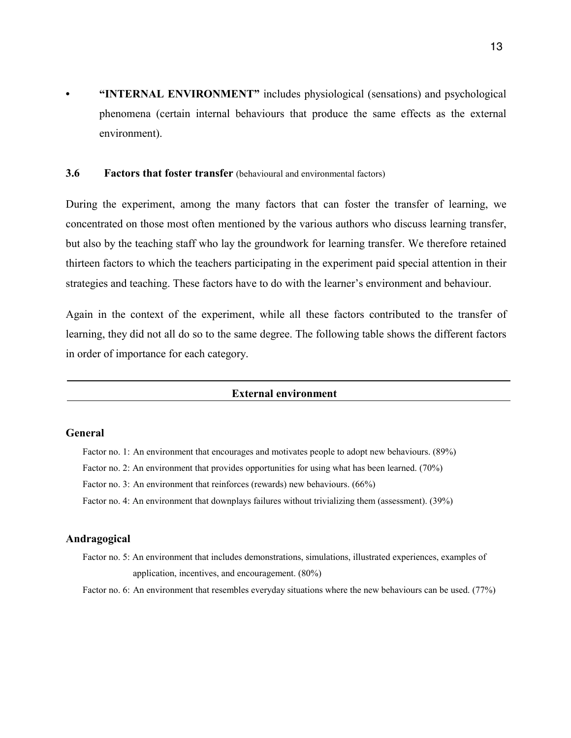**• "INTERNAL ENVIRONMENT"** includes physiological (sensations) and psychological phenomena (certain internal behaviours that produce the same effects as the external environment).

#### **3.6 Factors that foster transfer** (behavioural and environmental factors)

During the experiment, among the many factors that can foster the transfer of learning, we concentrated on those most often mentioned by the various authors who discuss learning transfer, but also by the teaching staff who lay the groundwork for learning transfer. We therefore retained thirteen factors to which the teachers participating in the experiment paid special attention in their strategies and teaching. These factors have to do with the learner's environment and behaviour.

Again in the context of the experiment, while all these factors contributed to the transfer of learning, they did not all do so to the same degree. The following table shows the different factors in order of importance for each category.

#### **External environment**

#### **General**

- Factor no. 1: An environment that encourages and motivates people to adopt new behaviours. (89%)
- Factor no. 2: An environment that provides opportunities for using what has been learned. (70%)
- Factor no. 3: An environment that reinforces (rewards) new behaviours. (66%)
- Factor no. 4: An environment that downplays failures without trivializing them (assessment). (39%)

#### **Andragogical**

- Factor no. 5: An environment that includes demonstrations, simulations, illustrated experiences, examples of application, incentives, and encouragement. (80%)
- Factor no. 6: An environment that resembles everyday situations where the new behaviours can be used. (77%)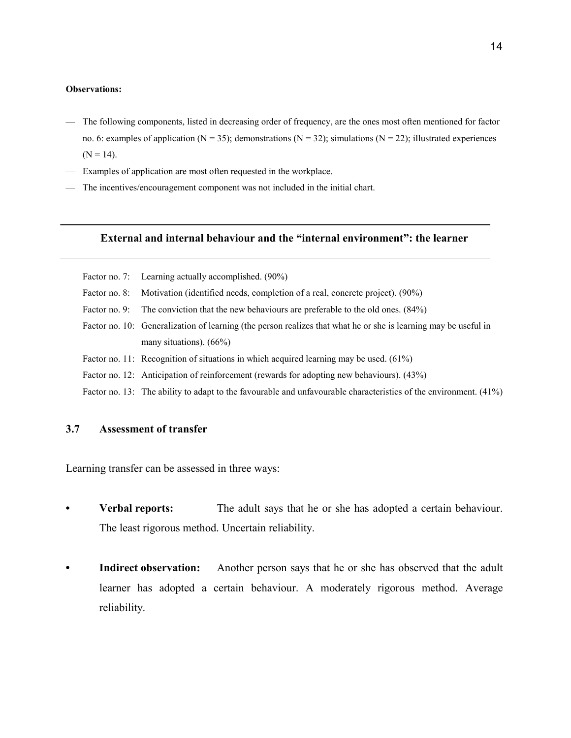#### **Observations:**

- The following components, listed in decreasing order of frequency, are the ones most often mentioned for factor no. 6: examples of application (N = 35); demonstrations (N = 32); simulations (N = 22); illustrated experiences  $(N = 14)$ .
- Examples of application are most often requested in the workplace.
- The incentives/encouragement component was not included in the initial chart.

#### **External and internal behaviour and the "internal environment": the learner**

- Factor no. 7: Learning actually accomplished. (90%)
- Factor no. 8: Motivation (identified needs, completion of a real, concrete project). (90%)
- Factor no. 9: The conviction that the new behaviours are preferable to the old ones. (84%)
- Factor no. 10: Generalization of learning (the person realizes that what he or she is learning may be useful in many situations). (66%)
- Factor no. 11: Recognition of situations in which acquired learning may be used. (61%)
- Factor no. 12: Anticipation of reinforcement (rewards for adopting new behaviours). (43%)
- Factor no. 13: The ability to adapt to the favourable and unfavourable characteristics of the environment. (41%)

#### **3.7 Assessment of transfer**

Learning transfer can be assessed in three ways:

- **Verbal reports:** The adult says that he or she has adopted a certain behaviour. The least rigorous method. Uncertain reliability.
- **Indirect observation:** Another person says that he or she has observed that the adult learner has adopted a certain behaviour. A moderately rigorous method. Average reliability.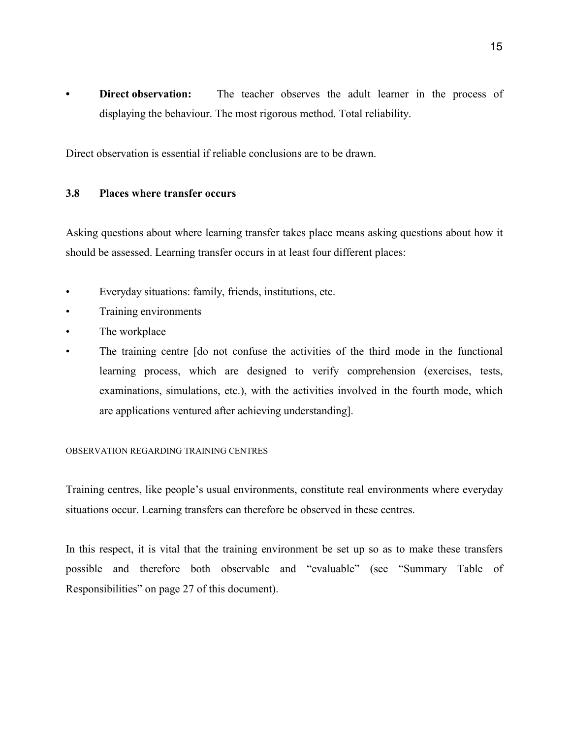**• Direct observation:** The teacher observes the adult learner in the process of displaying the behaviour. The most rigorous method. Total reliability.

Direct observation is essential if reliable conclusions are to be drawn.

#### **3.8 Places where transfer occurs**

Asking questions about where learning transfer takes place means asking questions about how it should be assessed. Learning transfer occurs in at least four different places:

- Everyday situations: family, friends, institutions, etc.
- Training environments
- The workplace
- The training centre (do not confuse the activities of the third mode in the functional learning process, which are designed to verify comprehension (exercises, tests, examinations, simulations, etc.), with the activities involved in the fourth mode, which are applications ventured after achieving understanding].

#### OBSERVATION REGARDING TRAINING CENTRES

Training centres, like people's usual environments, constitute real environments where everyday situations occur. Learning transfers can therefore be observed in these centres.

In this respect, it is vital that the training environment be set up so as to make these transfers possible and therefore both observable and "evaluable" (see "Summary Table of Responsibilities" on page 27 of this document).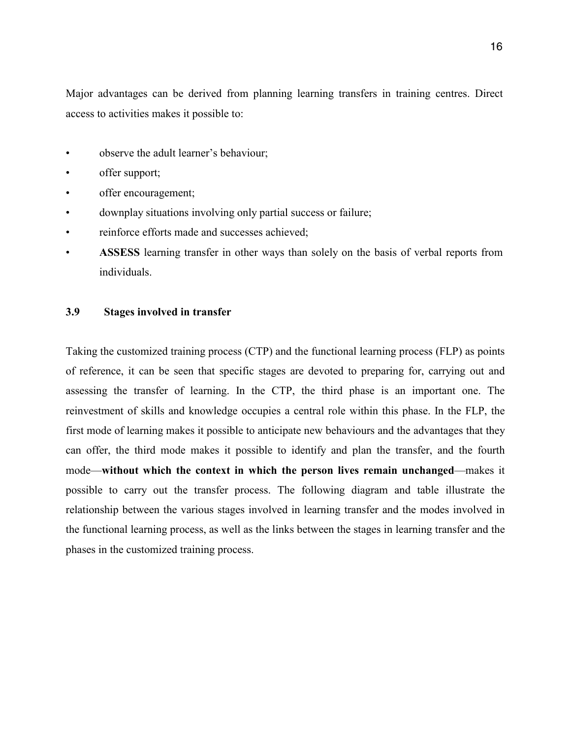Major advantages can be derived from planning learning transfers in training centres. Direct access to activities makes it possible to:

- observe the adult learner's behaviour;
- offer support;
- offer encouragement;
- downplay situations involving only partial success or failure;
- reinforce efforts made and successes achieved;
- **ASSESS** learning transfer in other ways than solely on the basis of verbal reports from individuals.

#### **3.9 Stages involved in transfer**

Taking the customized training process (CTP) and the functional learning process (FLP) as points of reference, it can be seen that specific stages are devoted to preparing for, carrying out and assessing the transfer of learning. In the CTP, the third phase is an important one. The reinvestment of skills and knowledge occupies a central role within this phase. In the FLP, the first mode of learning makes it possible to anticipate new behaviours and the advantages that they can offer, the third mode makes it possible to identify and plan the transfer, and the fourth mode—**without which the context in which the person lives remain unchanged**—makes it possible to carry out the transfer process. The following diagram and table illustrate the relationship between the various stages involved in learning transfer and the modes involved in the functional learning process, as well as the links between the stages in learning transfer and the phases in the customized training process.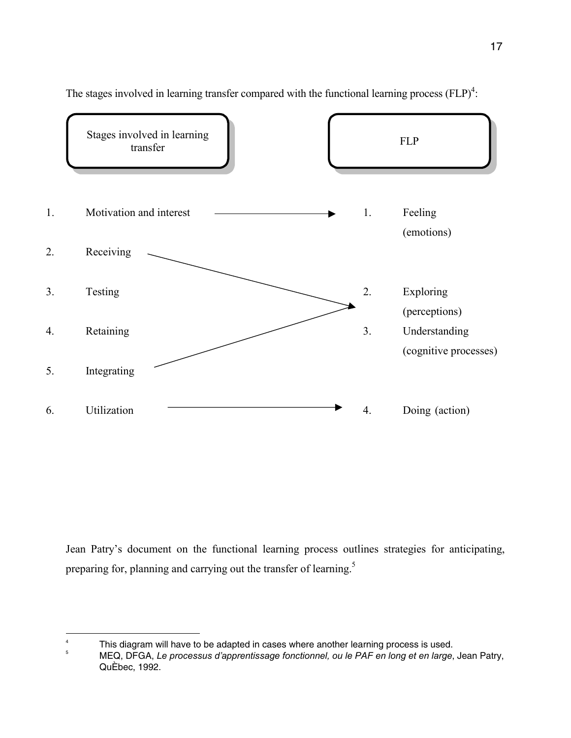

The stages involved in learning transfer compared with the functional learning process  $(FLP)^4$ :

Jean Patry's document on the functional learning process outlines strategies for anticipating, preparing for, planning and carrying out the transfer of learning.<sup>5</sup>

 $\frac{1}{4}$ This diagram will have to be adapted in cases where another learning process is used.

<sup>5</sup> MEQ, DFGA, *Le processus d'apprentissage fonctionnel, ou le PAF en long et en large*, Jean Patry, QuÈbec, 1992.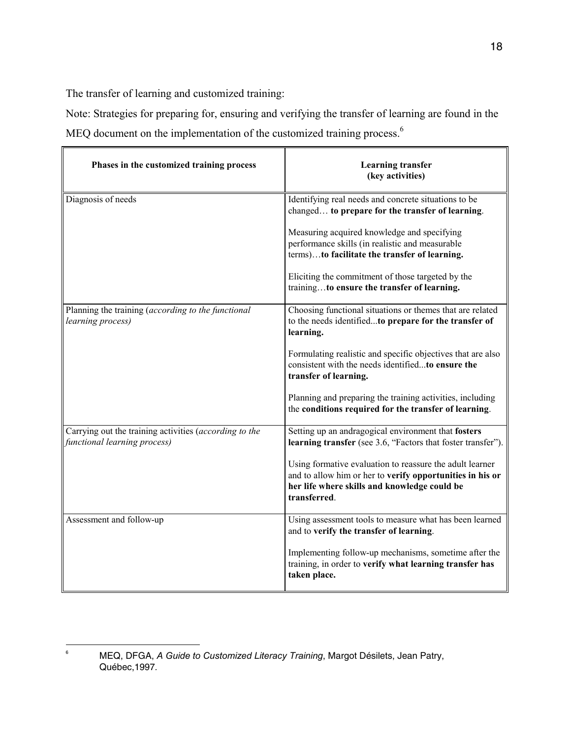The transfer of learning and customized training:

Note: Strategies for preparing for, ensuring and verifying the transfer of learning are found in the MEQ document on the implementation of the customized training process.<sup>6</sup>

| Phases in the customized training process                                              | <b>Learning transfer</b><br>(key activities)                                                                                                                                          |
|----------------------------------------------------------------------------------------|---------------------------------------------------------------------------------------------------------------------------------------------------------------------------------------|
| Diagnosis of needs                                                                     | Identifying real needs and concrete situations to be<br>changed to prepare for the transfer of learning.                                                                              |
|                                                                                        | Measuring acquired knowledge and specifying<br>performance skills (in realistic and measurable<br>terms)to facilitate the transfer of learning.                                       |
|                                                                                        | Eliciting the commitment of those targeted by the<br>trainingto ensure the transfer of learning.                                                                                      |
| Planning the training (according to the functional<br>learning process)                | Choosing functional situations or themes that are related<br>to the needs identifiedto prepare for the transfer of<br>learning.                                                       |
|                                                                                        | Formulating realistic and specific objectives that are also<br>consistent with the needs identifiedto ensure the<br>transfer of learning.                                             |
|                                                                                        | Planning and preparing the training activities, including<br>the conditions required for the transfer of learning.                                                                    |
| Carrying out the training activities (according to the<br>functional learning process) | Setting up an andragogical environment that fosters<br>learning transfer (see 3.6, "Factors that foster transfer").                                                                   |
|                                                                                        | Using formative evaluation to reassure the adult learner<br>and to allow him or her to verify opportunities in his or<br>her life where skills and knowledge could be<br>transferred. |
| Assessment and follow-up                                                               | Using assessment tools to measure what has been learned<br>and to verify the transfer of learning.                                                                                    |
|                                                                                        | Implementing follow-up mechanisms, sometime after the<br>training, in order to verify what learning transfer has<br>taken place.                                                      |

<sup>-&</sup>lt;br>6 MEQ, DFGA, *A Guide to Customized Literacy Training*, Margot Désilets, Jean Patry, Québec,1997*.*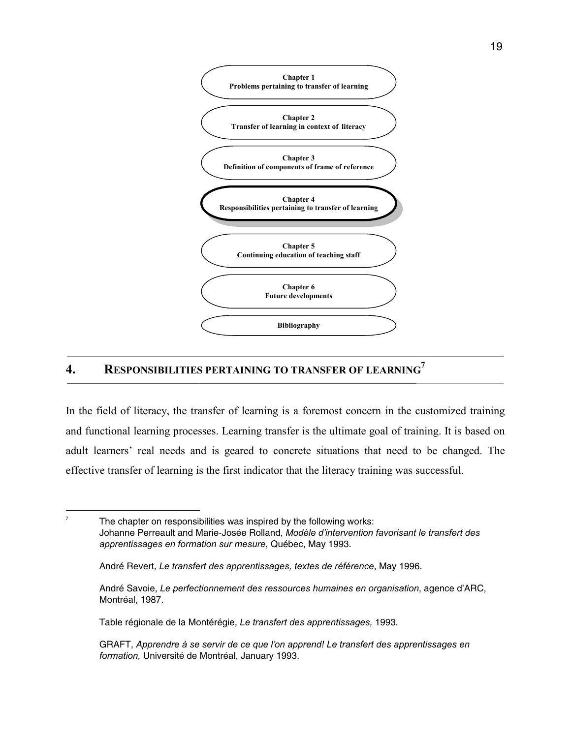

# **4. RESPONSIBILITIES PERTAINING TO TRANSFER OF LEARNING7**

In the field of literacy, the transfer of learning is a foremost concern in the customized training and functional learning processes. Learning transfer is the ultimate goal of training. It is based on adult learners' real needs and is geared to concrete situations that need to be changed. The effective transfer of learning is the first indicator that the literacy training was successful.

 $\overline{a}$ 7

 The chapter on responsibilities was inspired by the following works: Johanne Perreault and Marie-Josée Rolland, *Modèle d'intervention favorisant le transfert des apprentissages en formation sur mesure*, Québec, May 1993.

Table régionale de la Montérégie, *Le transfert des apprentissages,* 1993.

André Revert, *Le transfert des apprentissages, textes de référence*, May 1996.

André Savoie, *Le perfectionnement des ressources humaines en organisation*, agence d'ARC, Montréal, 1987.

GRAFT, *Apprendre à se servir de ce que l'on apprend! Le transfert des apprentissages en formation,* Université de Montréal, January 1993.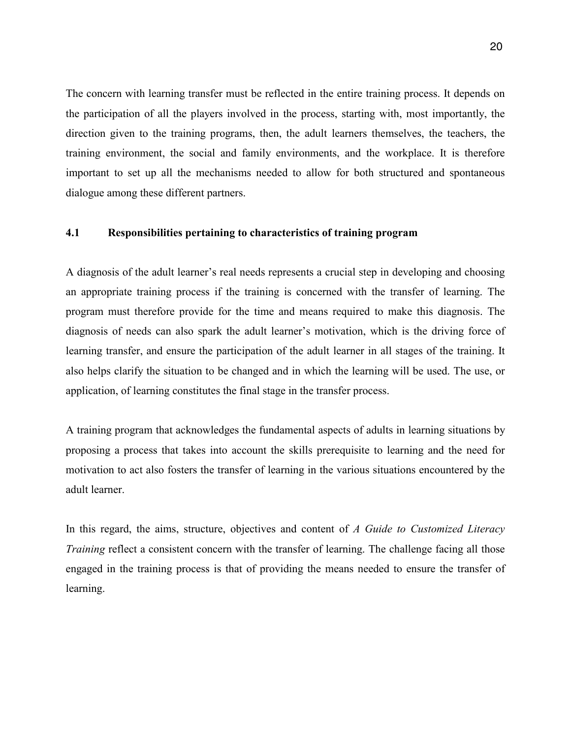The concern with learning transfer must be reflected in the entire training process. It depends on the participation of all the players involved in the process, starting with, most importantly, the direction given to the training programs, then, the adult learners themselves, the teachers, the training environment, the social and family environments, and the workplace. It is therefore important to set up all the mechanisms needed to allow for both structured and spontaneous dialogue among these different partners.

#### **4.1 Responsibilities pertaining to characteristics of training program**

A diagnosis of the adult learner's real needs represents a crucial step in developing and choosing an appropriate training process if the training is concerned with the transfer of learning. The program must therefore provide for the time and means required to make this diagnosis. The diagnosis of needs can also spark the adult learner's motivation, which is the driving force of learning transfer, and ensure the participation of the adult learner in all stages of the training. It also helps clarify the situation to be changed and in which the learning will be used. The use, or application, of learning constitutes the final stage in the transfer process.

A training program that acknowledges the fundamental aspects of adults in learning situations by proposing a process that takes into account the skills prerequisite to learning and the need for motivation to act also fosters the transfer of learning in the various situations encountered by the adult learner.

In this regard, the aims, structure, objectives and content of *A Guide to Customized Literacy Training* reflect a consistent concern with the transfer of learning. The challenge facing all those engaged in the training process is that of providing the means needed to ensure the transfer of learning.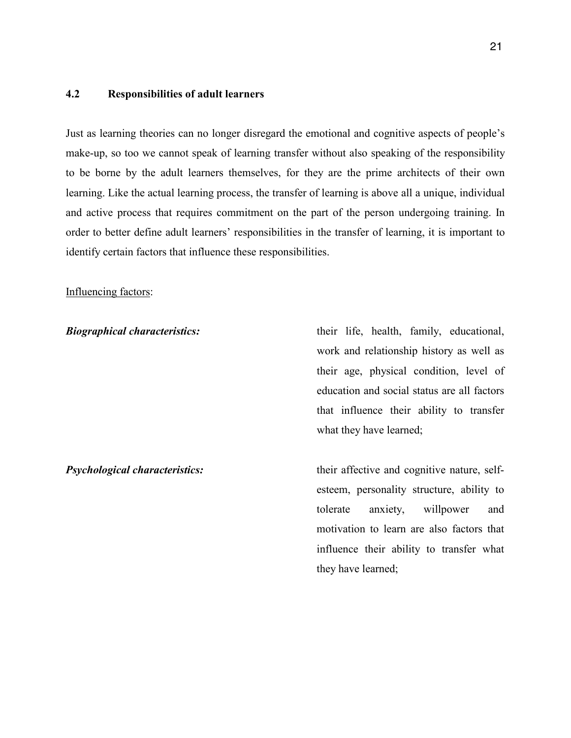#### **4.2 Responsibilities of adult learners**

Just as learning theories can no longer disregard the emotional and cognitive aspects of people's make-up, so too we cannot speak of learning transfer without also speaking of the responsibility to be borne by the adult learners themselves, for they are the prime architects of their own learning. Like the actual learning process, the transfer of learning is above all a unique, individual and active process that requires commitment on the part of the person undergoing training. In order to better define adult learners' responsibilities in the transfer of learning, it is important to identify certain factors that influence these responsibilities.

#### Influencing factors:

**Biographical characteristics:** their life, health, family, educational, work and relationship history as well as their age, physical condition, level of education and social status are all factors that influence their ability to transfer what they have learned;

*Psychological characteristics:* their affective and cognitive nature, selfesteem, personality structure, ability to tolerate anxiety, willpower and motivation to learn are also factors that influence their ability to transfer what they have learned;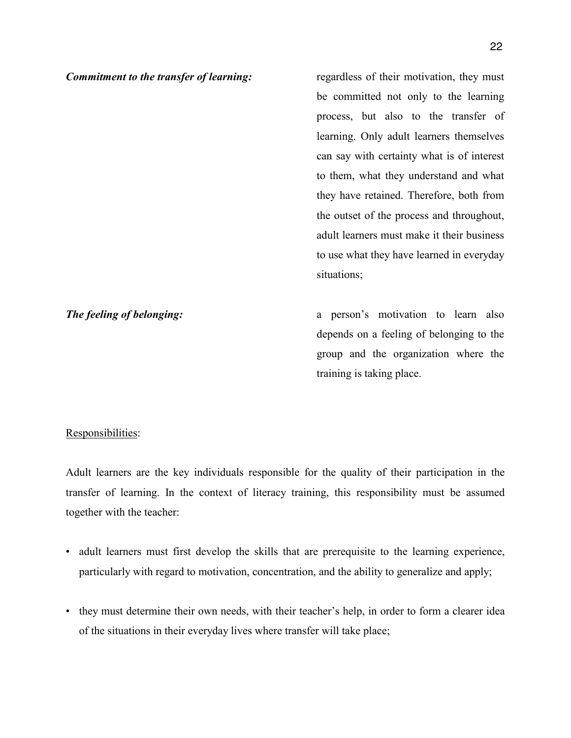**Commitment to the transfer of learning:** regardless of their motivation, they must be committed not only to the learning process, but also to the transfer of learning. Only adult learners themselves can say with certainty what is of interest to them, what they understand and what they have retained. Therefore, both from the outset of the process and throughout, adult learners must make it their business to use what they have learned in everyday situations; **The feeling of belonging:** a person's motivation to learn also

depends on a feeling of belonging to the group and the organization where the training is taking place.

## Responsibilities:

Adult learners are the key individuals responsible for the quality of their participation in the transfer of learning. In the context of literacy training, this responsibility must be assumed together with the teacher:

- adult learners must first develop the skills that are prerequisite to the learning experience, particularly with regard to motivation, concentration, and the ability to generalize and apply;
- they must determine their own needs, with their teacher's help, in order to form a clearer idea of the situations in their everyday lives where transfer will take place;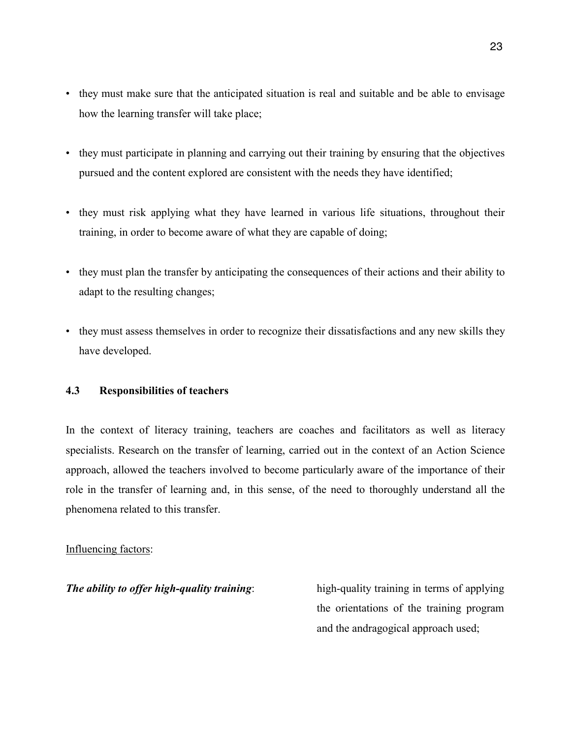- they must make sure that the anticipated situation is real and suitable and be able to envisage how the learning transfer will take place;
- they must participate in planning and carrying out their training by ensuring that the objectives pursued and the content explored are consistent with the needs they have identified;
- they must risk applying what they have learned in various life situations, throughout their training, in order to become aware of what they are capable of doing;
- they must plan the transfer by anticipating the consequences of their actions and their ability to adapt to the resulting changes;
- they must assess themselves in order to recognize their dissatisfactions and any new skills they have developed.

#### **4.3 Responsibilities of teachers**

In the context of literacy training, teachers are coaches and facilitators as well as literacy specialists. Research on the transfer of learning, carried out in the context of an Action Science approach, allowed the teachers involved to become particularly aware of the importance of their role in the transfer of learning and, in this sense, of the need to thoroughly understand all the phenomena related to this transfer.

#### Influencing factors:

*The ability to offer high-quality training*: high-quality training in terms of applying the orientations of the training program and the andragogical approach used;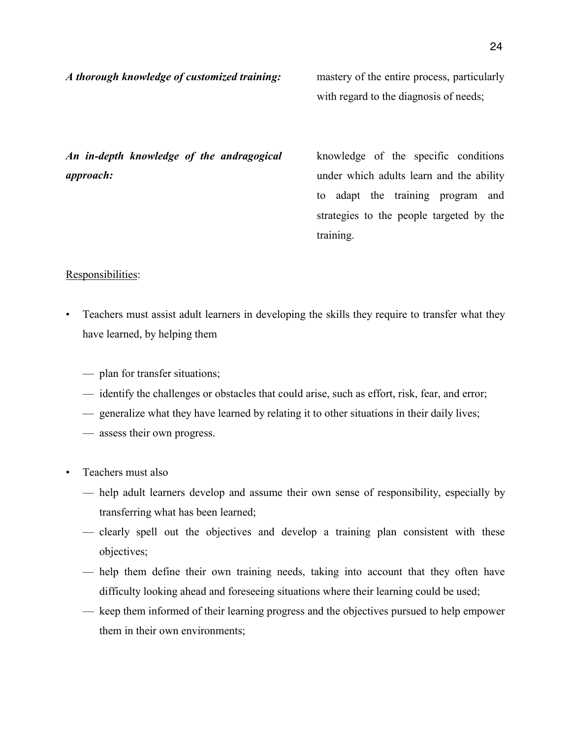with regard to the diagnosis of needs;

*An in-depth knowledge of the andragogical approach:*

knowledge of the specific conditions under which adults learn and the ability to adapt the training program and strategies to the people targeted by the training.

#### Responsibilities:

- Teachers must assist adult learners in developing the skills they require to transfer what they have learned, by helping them
	- plan for transfer situations;
	- identify the challenges or obstacles that could arise, such as effort, risk, fear, and error;
	- generalize what they have learned by relating it to other situations in their daily lives;
	- assess their own progress.
- Teachers must also
	- help adult learners develop and assume their own sense of responsibility, especially by transferring what has been learned;
	- clearly spell out the objectives and develop a training plan consistent with these objectives;
	- help them define their own training needs, taking into account that they often have difficulty looking ahead and foreseeing situations where their learning could be used;
	- keep them informed of their learning progress and the objectives pursued to help empower them in their own environments;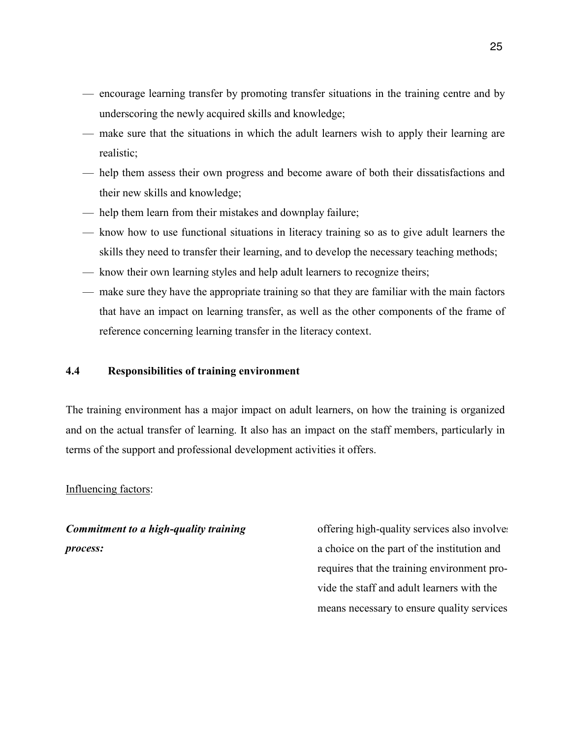- encourage learning transfer by promoting transfer situations in the training centre and by underscoring the newly acquired skills and knowledge;
- make sure that the situations in which the adult learners wish to apply their learning are realistic;
- help them assess their own progress and become aware of both their dissatisfactions and their new skills and knowledge;
- help them learn from their mistakes and downplay failure;
- know how to use functional situations in literacy training so as to give adult learners the skills they need to transfer their learning, and to develop the necessary teaching methods;
- know their own learning styles and help adult learners to recognize theirs;
- make sure they have the appropriate training so that they are familiar with the main factors that have an impact on learning transfer, as well as the other components of the frame of reference concerning learning transfer in the literacy context.

#### **4.4 Responsibilities of training environment**

The training environment has a major impact on adult learners, on how the training is organized and on the actual transfer of learning. It also has an impact on the staff members, particularly in terms of the support and professional development activities it offers.

#### Influencing factors:

*Commitment to a high-quality training process:*

offering high-quality services also involves a choice on the part of the institution and requires that the training environment provide the staff and adult learners with the means necessary to ensure quality services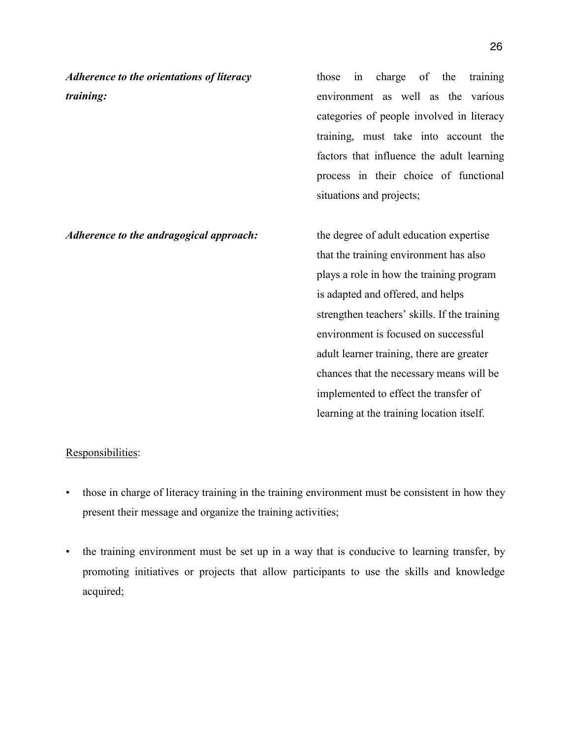*Adherence to the orientations of literacy training:*

those in charge of the training environment as well as the various categories of people involved in literacy training, must take into account the factors that influence the adult learning process in their choice of functional situations and projects;

*Adherence to the andragogical approach:* the degree of adult education expertise that the training environment has also plays a role in how the training program is adapted and offered, and helps strengthen teachers' skills. If the training environment is focused on successful adult learner training, there are greater chances that the necessary means will be implemented to effect the transfer of learning at the training location itself.

#### Responsibilities:

- those in charge of literacy training in the training environment must be consistent in how they present their message and organize the training activities;
- the training environment must be set up in a way that is conducive to learning transfer, by promoting initiatives or projects that allow participants to use the skills and knowledge acquired;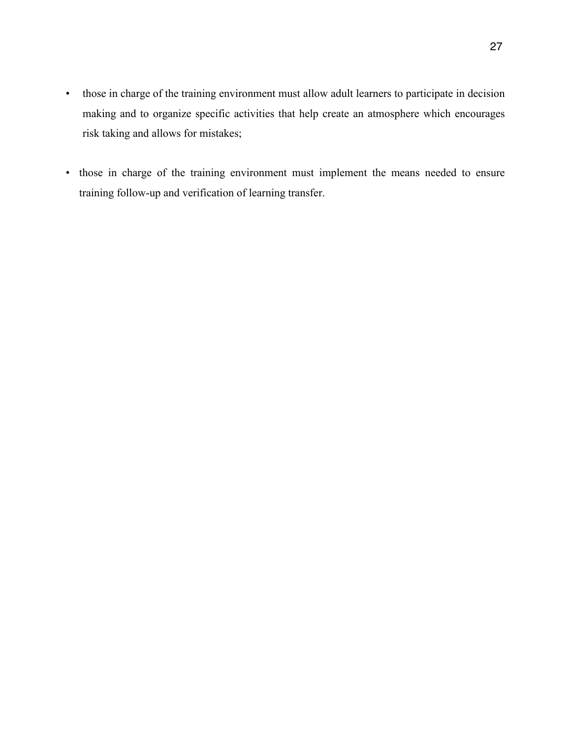- those in charge of the training environment must allow adult learners to participate in decision making and to organize specific activities that help create an atmosphere which encourages risk taking and allows for mistakes;
- those in charge of the training environment must implement the means needed to ensure training follow-up and verification of learning transfer.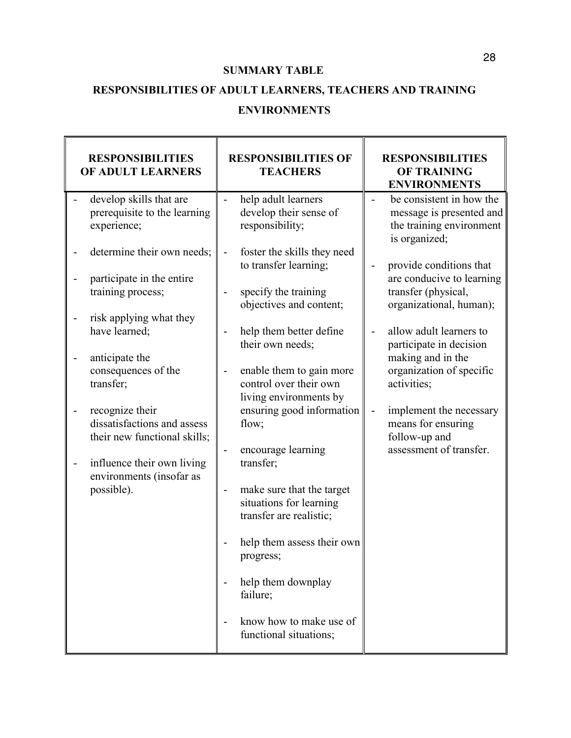#### **SUMMARY TABLE**

## **RESPONSIBILITIES OF ADULT LEARNERS, TEACHERS AND TRAINING**

#### **ENVIRONMENTS**

| <b>RESPONSIBILITIES</b><br>OF ADULT LEARNERS                                                                                                                                                                                                                                                                                                                                                                       | <b>RESPONSIBILITIES OF</b><br><b>TEACHERS</b>                                                                                                                                                                                                                                                                                                                                                                                                                                                                                                                                                                                                                                                                                                                                                                     | <b>RESPONSIBILITIES</b><br><b>OF TRAINING</b><br><b>ENVIRONMENTS</b>                                                                                                                                                                                                                                                                                                                                                                                                                                                   |
|--------------------------------------------------------------------------------------------------------------------------------------------------------------------------------------------------------------------------------------------------------------------------------------------------------------------------------------------------------------------------------------------------------------------|-------------------------------------------------------------------------------------------------------------------------------------------------------------------------------------------------------------------------------------------------------------------------------------------------------------------------------------------------------------------------------------------------------------------------------------------------------------------------------------------------------------------------------------------------------------------------------------------------------------------------------------------------------------------------------------------------------------------------------------------------------------------------------------------------------------------|------------------------------------------------------------------------------------------------------------------------------------------------------------------------------------------------------------------------------------------------------------------------------------------------------------------------------------------------------------------------------------------------------------------------------------------------------------------------------------------------------------------------|
| develop skills that are<br>prerequisite to the learning<br>experience;<br>determine their own needs;<br>participate in the entire<br>training process;<br>risk applying what they<br>have learned;<br>anticipate the<br>consequences of the<br>transfer;<br>recognize their<br>dissatisfactions and assess<br>their new functional skills;<br>influence their own living<br>environments (insofar as<br>possible). | help adult learners<br>$\frac{1}{2}$<br>develop their sense of<br>responsibility;<br>foster the skills they need<br>$\blacksquare$<br>to transfer learning;<br>specify the training<br>$\qquad \qquad \blacksquare$<br>objectives and content;<br>help them better define<br>$\overline{\phantom{a}}$<br>their own needs;<br>enable them to gain more<br>$\blacksquare$<br>control over their own<br>living environments by<br>ensuring good information<br>flow;<br>encourage learning<br>$\overline{\phantom{a}}$<br>transfer;<br>make sure that the target<br>$\qquad \qquad \blacksquare$<br>situations for learning<br>transfer are realistic;<br>help them assess their own<br>progress;<br>help them downplay<br>$\overline{\phantom{a}}$<br>failure;<br>know how to make use of<br>functional situations; | be consistent in how the<br>message is presented and<br>the training environment<br>is organized;<br>provide conditions that<br>$\overline{\phantom{0}}$<br>are conducive to learning<br>transfer (physical,<br>organizational, human);<br>allow adult learners to<br>$\overline{\phantom{a}}$<br>participate in decision<br>making and in the<br>organization of specific<br>activities;<br>implement the necessary<br>$\qquad \qquad \blacksquare$<br>means for ensuring<br>follow-up and<br>assessment of transfer. |
|                                                                                                                                                                                                                                                                                                                                                                                                                    |                                                                                                                                                                                                                                                                                                                                                                                                                                                                                                                                                                                                                                                                                                                                                                                                                   |                                                                                                                                                                                                                                                                                                                                                                                                                                                                                                                        |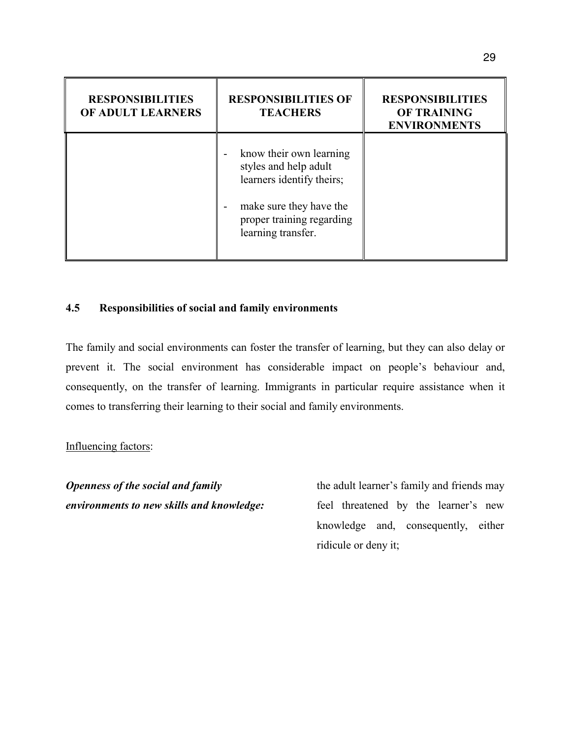| <b>RESPONSIBILITIES</b><br>OF ADULT LEARNERS | <b>RESPONSIBILITIES OF</b><br><b>TEACHERS</b>                                      | <b>RESPONSIBILITIES</b><br><b>OF TRAINING</b><br><b>ENVIRONMENTS</b> |
|----------------------------------------------|------------------------------------------------------------------------------------|----------------------------------------------------------------------|
|                                              | know their own learning<br>-<br>styles and help adult<br>learners identify theirs; |                                                                      |
|                                              | make sure they have the<br>proper training regarding<br>learning transfer.         |                                                                      |

#### **4.5 Responsibilities of social and family environments**

The family and social environments can foster the transfer of learning, but they can also delay or prevent it. The social environment has considerable impact on people's behaviour and, consequently, on the transfer of learning. Immigrants in particular require assistance when it comes to transferring their learning to their social and family environments.

#### Influencing factors:

*Openness of the social and family environments to new skills and knowledge:* the adult learner's family and friends may feel threatened by the learner's new knowledge and, consequently, either ridicule or deny it;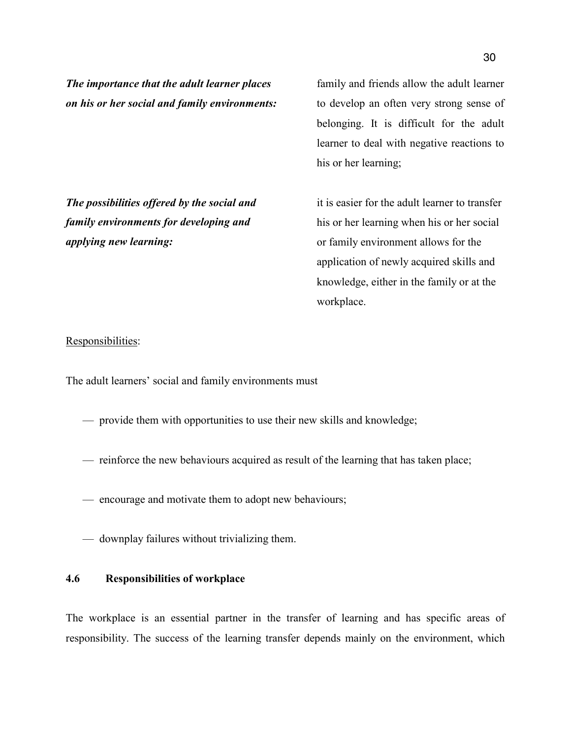*The importance that the adult learner places on his or her social and family environments:* family and friends allow the adult learner to develop an often very strong sense of belonging. It is difficult for the adult learner to deal with negative reactions to his or her learning;

*The possibilities offered by the social and family environments for developing and applying new learning:*

it is easier for the adult learner to transfer his or her learning when his or her social or family environment allows for the application of newly acquired skills and knowledge, either in the family or at the workplace.

#### Responsibilities:

The adult learners' social and family environments must

- provide them with opportunities to use their new skills and knowledge;
- reinforce the new behaviours acquired as result of the learning that has taken place;
- encourage and motivate them to adopt new behaviours;
- downplay failures without trivializing them.

#### **4.6 Responsibilities of workplace**

The workplace is an essential partner in the transfer of learning and has specific areas of responsibility. The success of the learning transfer depends mainly on the environment, which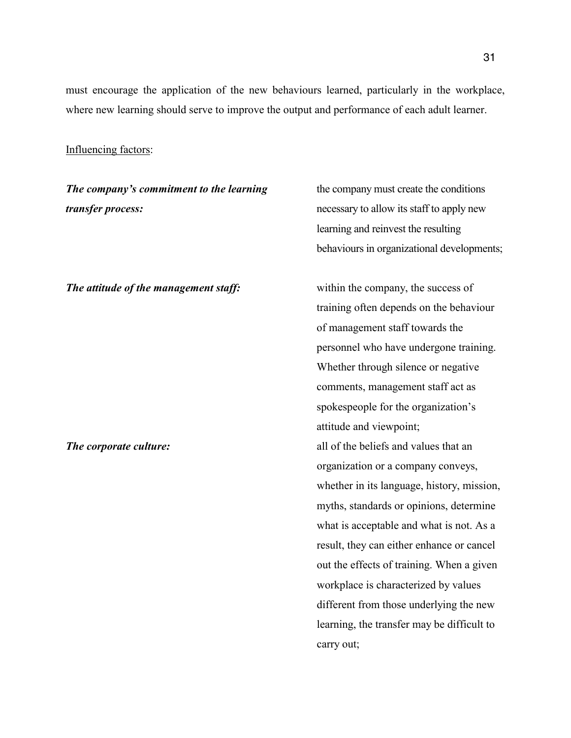must encourage the application of the new behaviours learned, particularly in the workplace, where new learning should serve to improve the output and performance of each adult learner.

#### Influencing factors:

*The company's commitment to the learning transfer process:*

*The attitude of the management staff:* within the company, the success of

the company must create the conditions necessary to allow its staff to apply new learning and reinvest the resulting behaviours in organizational developments;

training often depends on the behaviour of management staff towards the personnel who have undergone training. Whether through silence or negative comments, management staff act as spokespeople for the organization's attitude and viewpoint; *The corporate culture:* all of the beliefs and values that an organization or a company conveys, whether in its language, history, mission, myths, standards or opinions, determine what is acceptable and what is not. As a result, they can either enhance or cancel out the effects of training. When a given workplace is characterized by values different from those underlying the new learning, the transfer may be difficult to carry out;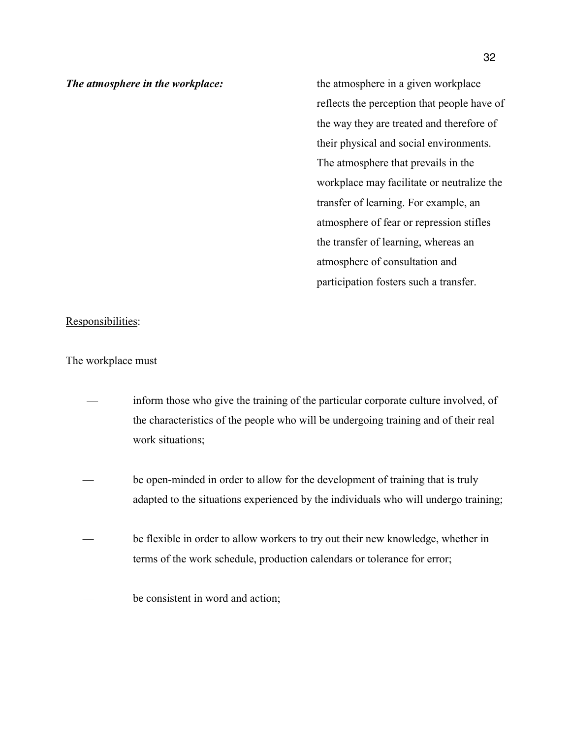*The atmosphere in the workplace:* the atmosphere in a given workplace reflects the perception that people have of the way they are treated and therefore of their physical and social environments. The atmosphere that prevails in the workplace may facilitate or neutralize the transfer of learning. For example, an atmosphere of fear or repression stifles the transfer of learning, whereas an atmosphere of consultation and participation fosters such a transfer.

#### Responsibilities:

#### The workplace must

- inform those who give the training of the particular corporate culture involved, of the characteristics of the people who will be undergoing training and of their real work situations;
- be open-minded in order to allow for the development of training that is truly adapted to the situations experienced by the individuals who will undergo training;
- be flexible in order to allow workers to try out their new knowledge, whether in terms of the work schedule, production calendars or tolerance for error;
- be consistent in word and action;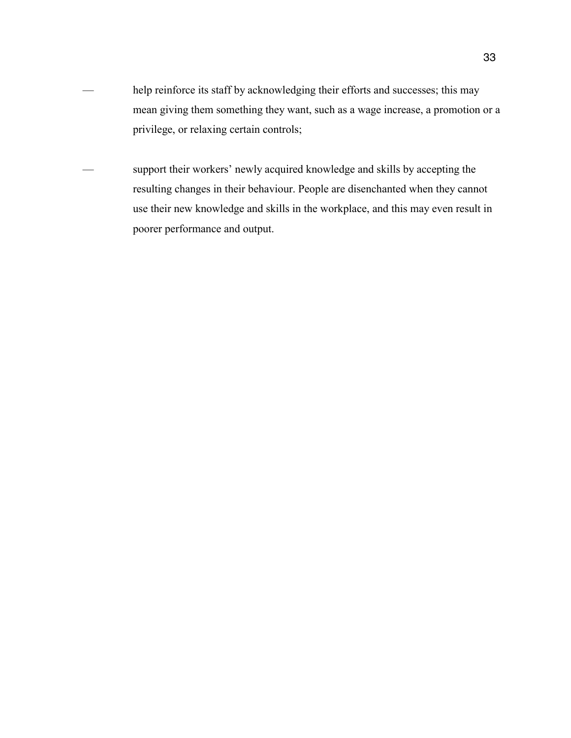- help reinforce its staff by acknowledging their efforts and successes; this may mean giving them something they want, such as a wage increase, a promotion or a privilege, or relaxing certain controls;
- support their workers' newly acquired knowledge and skills by accepting the resulting changes in their behaviour. People are disenchanted when they cannot use their new knowledge and skills in the workplace, and this may even result in poorer performance and output.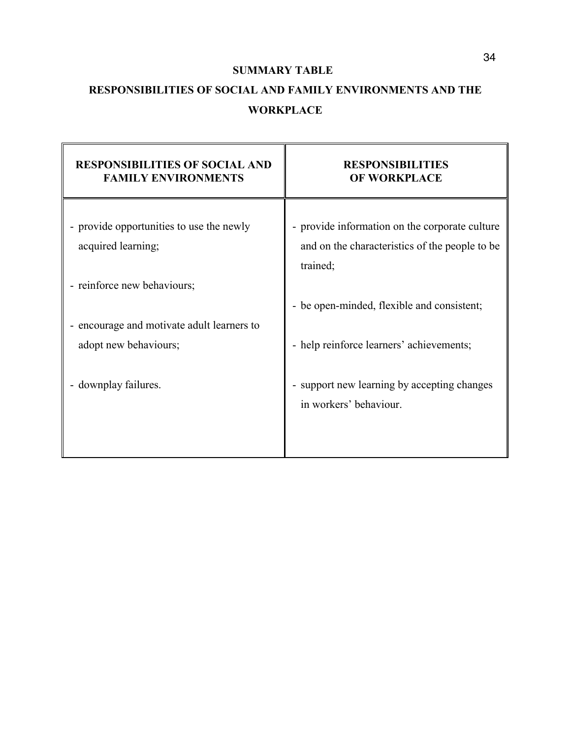#### **SUMMARY TABLE**

# **RESPONSIBILITIES OF SOCIAL AND FAMILY ENVIRONMENTS AND THE WORKPLACE**

| <b>RESPONSIBILITIES OF SOCIAL AND</b><br><b>FAMILY ENVIRONMENTS</b> | <b>RESPONSIBILITIES</b><br><b>OF WORKPLACE</b>                                                               |
|---------------------------------------------------------------------|--------------------------------------------------------------------------------------------------------------|
| - provide opportunities to use the newly<br>acquired learning;      | - provide information on the corporate culture<br>and on the characteristics of the people to be<br>trained; |
| - reinforce new behaviours;                                         | - be open-minded, flexible and consistent;                                                                   |
| - encourage and motivate adult learners to<br>adopt new behaviours; | - help reinforce learners' achievements;                                                                     |
| - downplay failures.                                                | - support new learning by accepting changes<br>in workers' behaviour.                                        |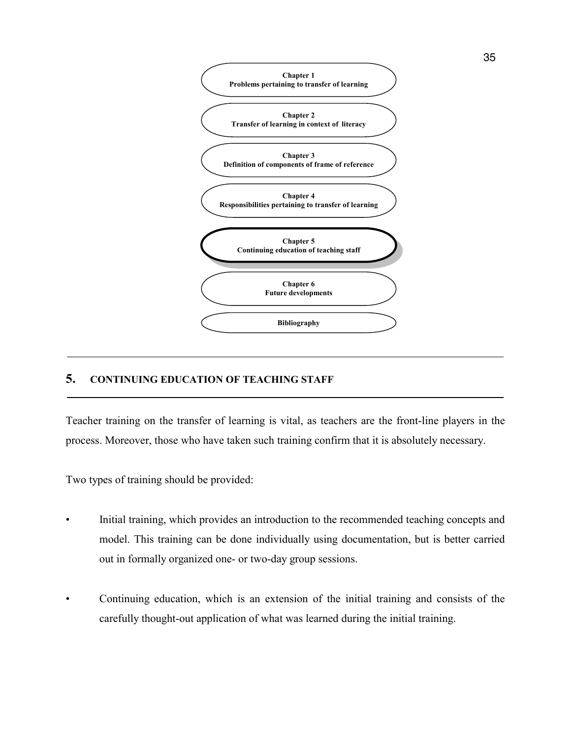

#### **5. CONTINUING EDUCATION OF TEACHING STAFF**

Teacher training on the transfer of learning is vital, as teachers are the front-line players in the process. Moreover, those who have taken such training confirm that it is absolutely necessary.

Two types of training should be provided:

- Initial training, which provides an introduction to the recommended teaching concepts and model. This training can be done individually using documentation, but is better carried out in formally organized one- or two-day group sessions.
- Continuing education, which is an extension of the initial training and consists of the carefully thought-out application of what was learned during the initial training.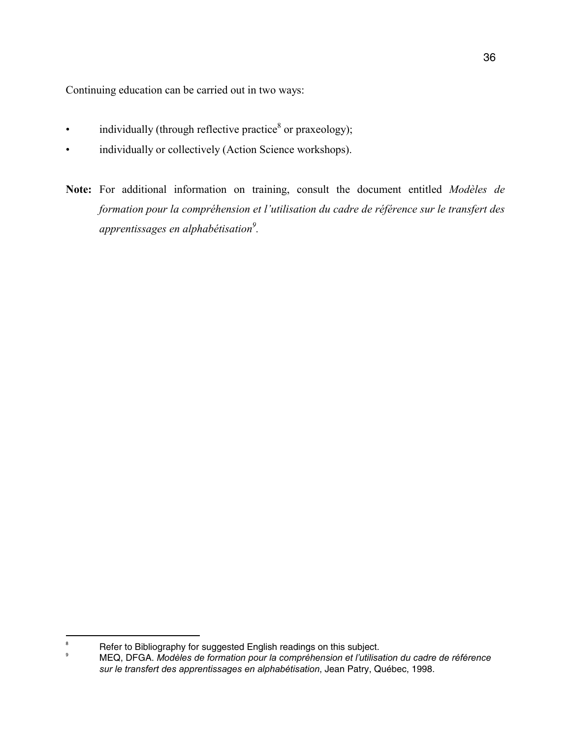Continuing education can be carried out in two ways:

- $\bullet$  individually (through reflective practice<sup>8</sup> or praxeology);
- individually or collectively (Action Science workshops).
- **Note:** For additional information on training, consult the document entitled *Modèles de formation pour la compréhension et l'utilisation du cadre de référence sur le transfert des apprentissages en alphabétisation9 .*

<sup>-&</sup>lt;br>8 Refer to Bibliography for suggested English readings on this subject.  $\circ$ 

MEQ, DFGA. *Modèles de formation pour la compréhension et l'utilisation du cadre de référence sur le transfert des apprentissages en alphabétisation*, Jean Patry, Québec, 1998.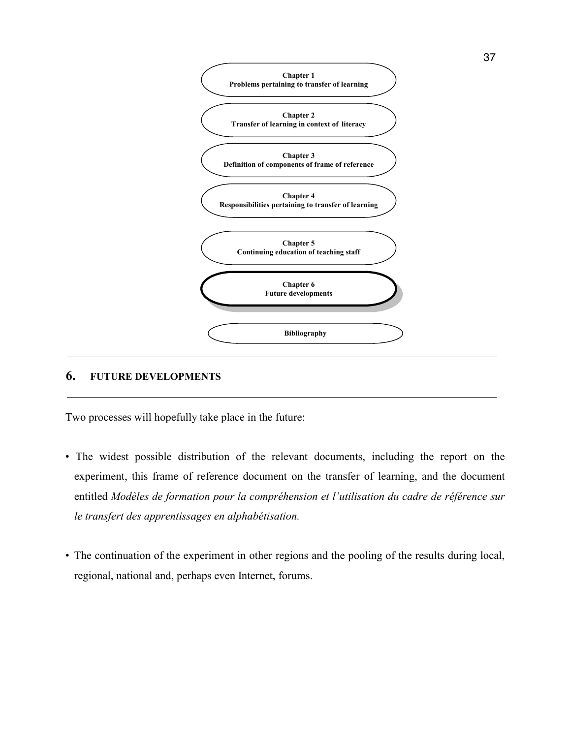

#### **6. FUTURE DEVELOPMENTS**

Two processes will hopefully take place in the future:

- The widest possible distribution of the relevant documents, including the report on the experiment, this frame of reference document on the transfer of learning, and the document entitled *Modèles de formation pour la compréhension et l'utilisation du cadre de référence sur le transfert des apprentissages en alphabétisation.*
- The continuation of the experiment in other regions and the pooling of the results during local, regional, national and, perhaps even Internet, forums.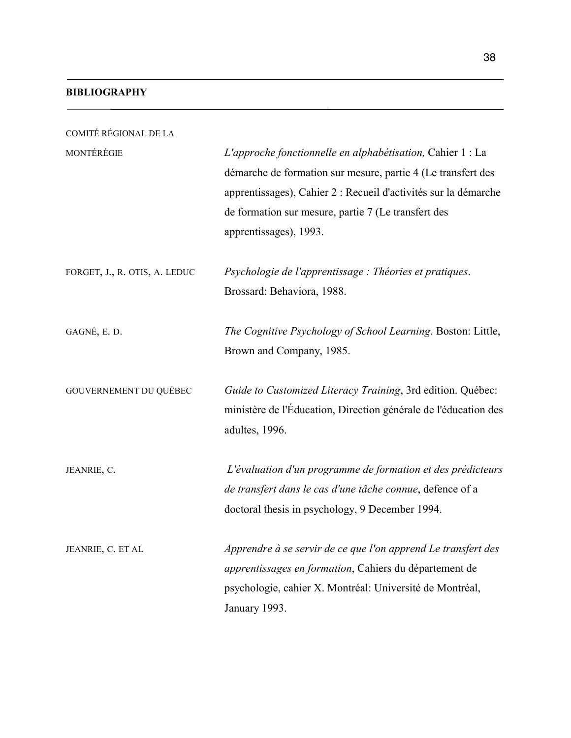#### **BIBLIOGRAPHY**

| COMITÉ RÉGIONAL DE LA         |                                                                                                                                                                                                                                                                                |
|-------------------------------|--------------------------------------------------------------------------------------------------------------------------------------------------------------------------------------------------------------------------------------------------------------------------------|
| MONTÉRÉGIE                    | L'approche fonctionnelle en alphabétisation, Cahier 1 : La<br>démarche de formation sur mesure, partie 4 (Le transfert des<br>apprentissages), Cahier 2 : Recueil d'activités sur la démarche<br>de formation sur mesure, partie 7 (Le transfert des<br>apprentissages), 1993. |
| FORGET, J., R. OTIS, A. LEDUC | Psychologie de l'apprentissage : Théories et pratiques.<br>Brossard: Behaviora, 1988.                                                                                                                                                                                          |
| GAGNÉ, E. D.                  | The Cognitive Psychology of School Learning. Boston: Little,<br>Brown and Company, 1985.                                                                                                                                                                                       |
| GOUVERNEMENT DU QUÉBEC        | Guide to Customized Literacy Training, 3rd edition. Québec:<br>ministère de l'Éducation, Direction générale de l'éducation des<br>adultes, 1996.                                                                                                                               |
| JEANRIE, C.                   | L'évaluation d'un programme de formation et des prédicteurs<br>de transfert dans le cas d'une tâche connue, defence of a<br>doctoral thesis in psychology, 9 December 1994.                                                                                                    |
| JEANRIE, C. ET AL             | Apprendre à se servir de ce que l'on apprend Le transfert des<br>apprentissages en formation, Cahiers du département de<br>psychologie, cahier X. Montréal: Université de Montréal,<br>January 1993.                                                                           |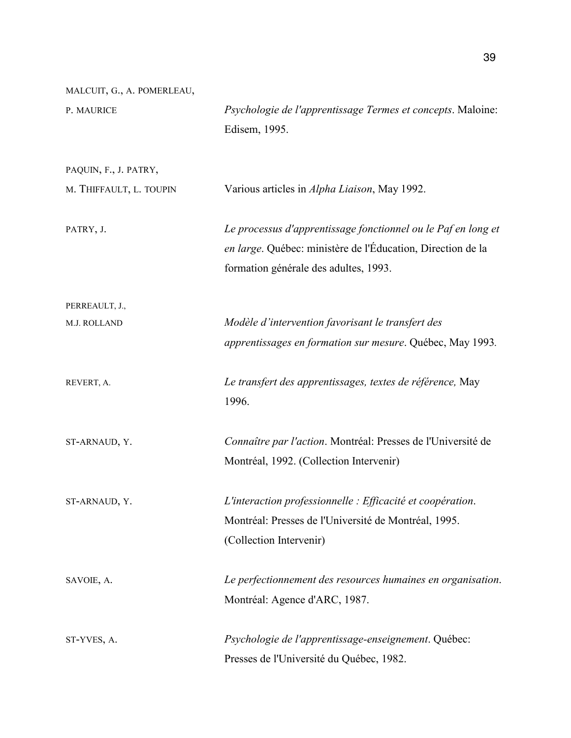| MALCUIT, G., A. POMERLEAU, |                                                                              |
|----------------------------|------------------------------------------------------------------------------|
| P. MAURICE                 | Psychologie de l'apprentissage Termes et concepts. Maloine:<br>Edisem, 1995. |
|                            |                                                                              |
| PAQUIN, F., J. PATRY,      |                                                                              |
| M. THIFFAULT, L. TOUPIN    | Various articles in Alpha Liaison, May 1992.                                 |
| PATRY, J.                  | Le processus d'apprentissage fonctionnel ou le Paf en long et                |
|                            | en large. Québec: ministère de l'Éducation, Direction de la                  |
|                            | formation générale des adultes, 1993.                                        |
| PERREAULT, J.,             |                                                                              |
| M.J. ROLLAND               | Modèle d'intervention favorisant le transfert des                            |
|                            | apprentissages en formation sur mesure. Québec, May 1993.                    |
| REVERT, A.                 | Le transfert des apprentissages, textes de référence, May                    |
|                            | 1996.                                                                        |
| ST-ARNAUD, Y.              | Connaître par l'action. Montréal: Presses de l'Université de                 |
|                            | Montréal, 1992. (Collection Intervenir)                                      |
| ST-ARNAUD, Y.              | L'interaction professionnelle : Efficacité et coopération.                   |
|                            | Montréal: Presses de l'Université de Montréal, 1995.                         |
|                            | (Collection Intervenir)                                                      |
| SAVOIE, A.                 | Le perfectionnement des resources humaines en organisation.                  |
|                            | Montréal: Agence d'ARC, 1987.                                                |
| ST-YVES, A.                | Psychologie de l'apprentissage-enseignement. Québec:                         |
|                            | Presses de l'Université du Québec, 1982.                                     |